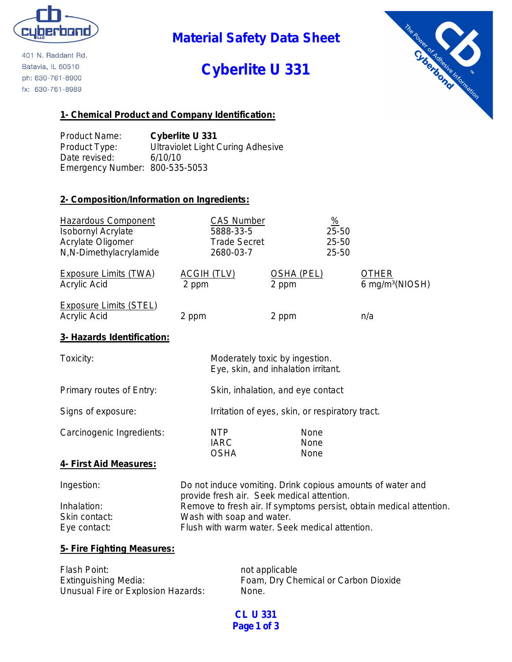

401 N. Raddant Rd. Batavia, IL 60510 ph: 630-761-8900 fx: 630-761-8989

## **Material Safety Data Sheet**

# **Cyberlite U 331**



#### **1- Chemical Product and Company Identification:**

Product Name: **Cyberlite U 331** Product Type: Ultraviolet Light Curing Adhesive Date revised: 6/10/10 Emergency Number: 800-535-5053

#### **2- Composition/Information on Ingredients:**

| <b>Hazardous Component</b><br><b>Isobornyl Acrylate</b><br>Acrylate Oligomer<br>N,N-Dimethylacrylamide | <b>CAS Number</b><br>5888-33-5<br><b>Trade Secret</b><br>2680-03-7                                       |                                                                       | $\frac{9}{6}$<br>25-50<br>25-50<br>25-50 |                                                                     |
|--------------------------------------------------------------------------------------------------------|----------------------------------------------------------------------------------------------------------|-----------------------------------------------------------------------|------------------------------------------|---------------------------------------------------------------------|
| <b>Exposure Limits (TWA)</b><br>Acrylic Acid                                                           | <u>ACGIH (TLV)</u><br>2 ppm                                                                              | <u>OSHA (PEL)</u><br>2 ppm                                            |                                          | <b>OTHER</b><br>6 mg/m <sup>3</sup> (NIOSH)                         |
| <b>Exposure Limits (STEL)</b><br>Acrylic Acid                                                          | 2 ppm                                                                                                    | 2 ppm                                                                 |                                          | n/a                                                                 |
| 3- Hazards Identification:                                                                             |                                                                                                          |                                                                       |                                          |                                                                     |
| Toxicity:                                                                                              |                                                                                                          | Moderately toxic by ingestion.<br>Eye, skin, and inhalation irritant. |                                          |                                                                     |
| Primary routes of Entry:                                                                               |                                                                                                          | Skin, inhalation, and eye contact                                     |                                          |                                                                     |
| Signs of exposure:                                                                                     |                                                                                                          | Irritation of eyes, skin, or respiratory tract.                       |                                          |                                                                     |
| Carcinogenic Ingredients:                                                                              | NTP<br><b>IARC</b><br><b>OSHA</b>                                                                        | None<br>None<br>None                                                  |                                          |                                                                     |
| 4- First Aid Measures:                                                                                 |                                                                                                          |                                                                       |                                          |                                                                     |
| Ingestion:                                                                                             | Do not induce vomiting. Drink copious amounts of water and<br>provide fresh air. Seek medical attention. |                                                                       |                                          |                                                                     |
| Inhalation:<br>Skin contact:                                                                           | Wash with soap and water.                                                                                |                                                                       |                                          | Remove to fresh air. If symptoms persist, obtain medical attention. |

#### **5- Fire Fighting Measures:**

| Flash Point:                       | not applicable                       |
|------------------------------------|--------------------------------------|
| Extinguishing Media:               | Foam, Dry Chemical or Carbon Dioxide |
| Unusual Fire or Explosion Hazards: | None.                                |

Eye contact: Flush with warm water. Seek medical attention.

**CL U 331 Page 1 of 3**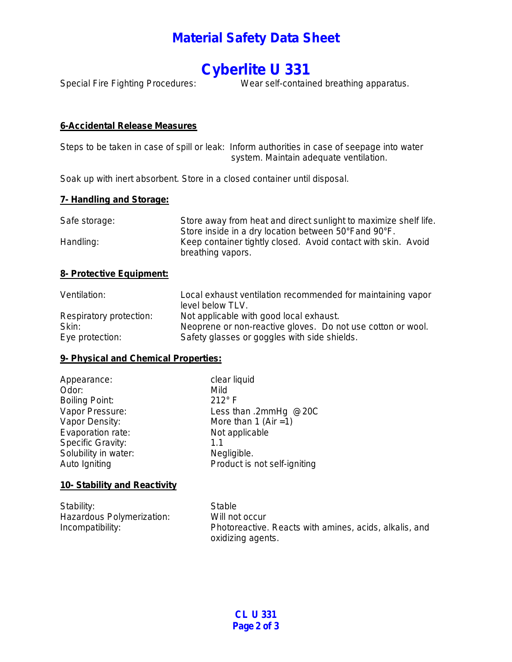### **Material Safety Data Sheet**

## **Cyberlite U 331**

Special Fire Fighting Procedures: Wear self-contained breathing apparatus.

#### **6-Accidental Release Measures**

Steps to be taken in case of spill or leak: Inform authorities in case of seepage into water system. Maintain adequate ventilation.

Soak up with inert absorbent. Store in a closed container until disposal.

#### **7- Handling and Storage:**

| Safe storage: | Store away from heat and direct sunlight to maximize shelf life.                   |  |
|---------------|------------------------------------------------------------------------------------|--|
|               | Store inside in a dry location between 50°Fand 90°F.                               |  |
| Handling:     | Keep container tightly closed. Avoid contact with skin. Avoid<br>breathing vapors. |  |

#### **8- Protective Equipment:**

| Ventilation:            | Local exhaust ventilation recommended for maintaining vapor<br>level below TLV. |
|-------------------------|---------------------------------------------------------------------------------|
| Respiratory protection: | Not applicable with good local exhaust.                                         |
| Skin:                   | Neoprene or non-reactive gloves. Do not use cotton or wool.                     |
| Eye protection:         | Safety glasses or goggles with side shields.                                    |

#### **9- Physical and Chemical Properties:**

| Appearance:           | clear liquid                 |
|-----------------------|------------------------------|
| Odor:                 | Mild                         |
| <b>Boiling Point:</b> | $212^{\circ}$ F              |
| Vapor Pressure:       | Less than .2mmHg @20C        |
| Vapor Density:        | More than 1 (Air = 1)        |
| Evaporation rate:     | Not applicable               |
| Specific Gravity:     | 1.1                          |
| Solubility in water:  | Negligible.                  |
| Auto Igniting         | Product is not self-igniting |
|                       |                              |

#### **10- Stability and Reactivity**

| Stability:                | Stable                                                 |
|---------------------------|--------------------------------------------------------|
| Hazardous Polymerization: | Will not occur                                         |
| Incompatibility:          | Photoreactive. Reacts with amines, acids, alkalis, and |
|                           | oxidizing agents.                                      |